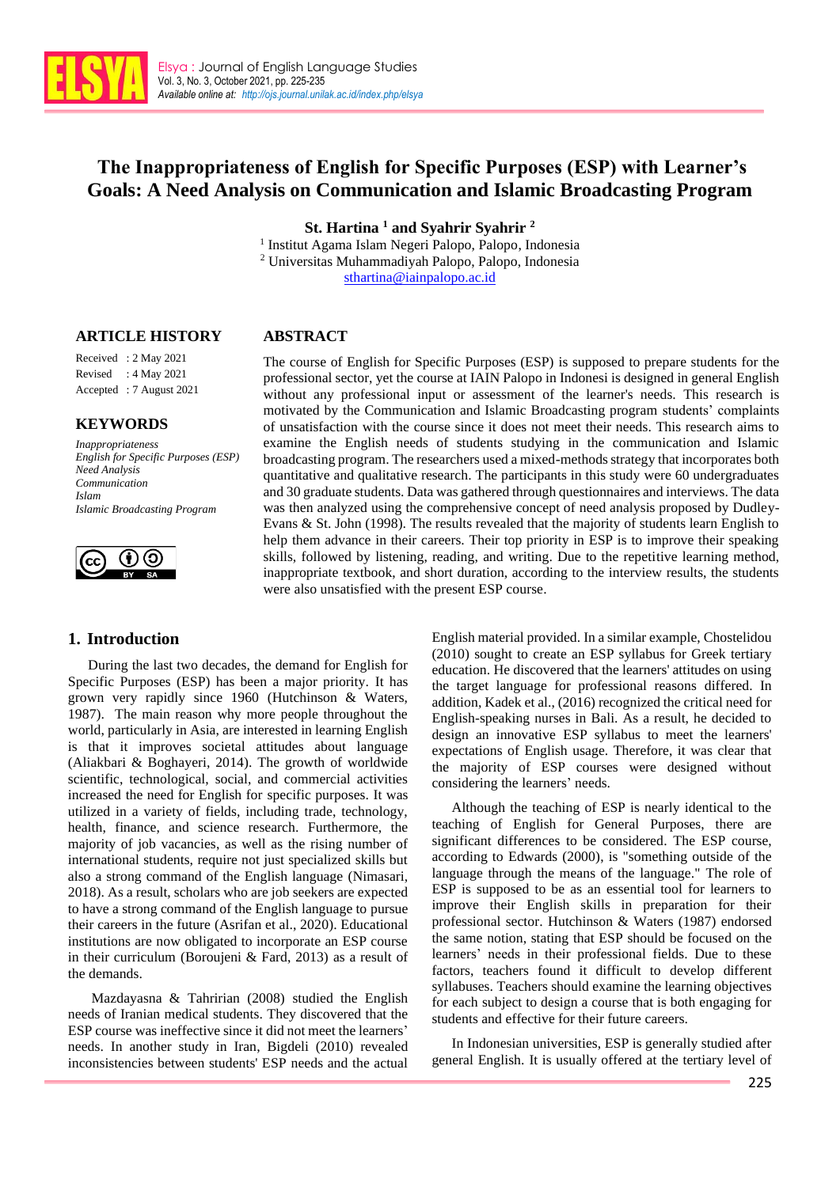

# **The Inappropriateness of English for Specific Purposes (ESP) with Learner's Goals: A Need Analysis on Communication and Islamic Broadcasting Program**

**St. Hartina <sup>1</sup> and Syahrir Syahrir <sup>2</sup>**

1 Institut Agama Islam Negeri Palopo, Palopo, Indonesia <sup>2</sup> Universitas Muhammadiyah Palopo, Palopo, Indonesia

[sthartina@iainpalopo.ac.id](mailto:sthartina@iainpalopo.ac.id)

### **ARTICLE HISTORY**

## **ABSTRACT**

Received : 2 May 2021 Revised : 4 May 2021 Accepted : 7 August 2021

## **KEYWORDS**

*Inappropriateness English for Specific Purposes (ESP) Need Analysis Communication Islam Islamic Broadcasting Program*



## **1. Introduction**

The course of English for Specific Purposes (ESP) is supposed to prepare students for the professional sector, yet the course at IAIN Palopo in Indonesi is designed in general English without any professional input or assessment of the learner's needs. This research is motivated by the Communication and Islamic Broadcasting program students' complaints of unsatisfaction with the course since it does not meet their needs. This research aims to examine the English needs of students studying in the communication and Islamic broadcasting program. The researchers used a mixed-methods strategy that incorporates both quantitative and qualitative research. The participants in this study were 60 undergraduates and 30 graduate students. Data was gathered through questionnaires and interviews. The data was then analyzed using the comprehensive concept of need analysis proposed by Dudley-Evans & St. John (1998). The results revealed that the majority of students learn English to help them advance in their careers. Their top priority in ESP is to improve their speaking skills, followed by listening, reading, and writing. Due to the repetitive learning method, inappropriate textbook, and short duration, according to the interview results, the students were also unsatisfied with the present ESP course.

During the last two decades, the demand for English for Specific Purposes (ESP) has been a major priority. It has grown very rapidly since 1960 (Hutchinson & Waters, 1987). The main reason why more people throughout the world, particularly in Asia, are interested in learning English is that it improves societal attitudes about language (Aliakbari & Boghayeri, 2014). The growth of worldwide scientific, technological, social, and commercial activities increased the need for English for specific purposes. It was utilized in a variety of fields, including trade, technology, health, finance, and science research. Furthermore, the majority of job vacancies, as well as the rising number of international students, require not just specialized skills but also a strong command of the English language (Nimasari, 2018). As a result, scholars who are job seekers are expected to have a strong command of the English language to pursue their careers in the future (Asrifan et al., 2020). Educational institutions are now obligated to incorporate an ESP course in their curriculum (Boroujeni & Fard, 2013) as a result of the demands.

Mazdayasna & Tahririan (2008) studied the English needs of Iranian medical students. They discovered that the ESP course was ineffective since it did not meet the learners' needs. In another study in Iran, Bigdeli (2010) revealed inconsistencies between students' ESP needs and the actual

English material provided. In a similar example, Chostelidou (2010) sought to create an ESP syllabus for Greek tertiary education. He discovered that the learners' attitudes on using the target language for professional reasons differed. In addition, Kadek et al., (2016) recognized the critical need for English-speaking nurses in Bali. As a result, he decided to design an innovative ESP syllabus to meet the learners' expectations of English usage. Therefore, it was clear that the majority of ESP courses were designed without considering the learners' needs.

Although the teaching of ESP is nearly identical to the teaching of English for General Purposes, there are significant differences to be considered. The ESP course, according to Edwards (2000), is "something outside of the language through the means of the language." The role of ESP is supposed to be as an essential tool for learners to improve their English skills in preparation for their professional sector. Hutchinson & Waters (1987) endorsed the same notion, stating that ESP should be focused on the learners' needs in their professional fields. Due to these factors, teachers found it difficult to develop different syllabuses. Teachers should examine the learning objectives for each subject to design a course that is both engaging for students and effective for their future careers.

In Indonesian universities, ESP is generally studied after general English. It is usually offered at the tertiary level of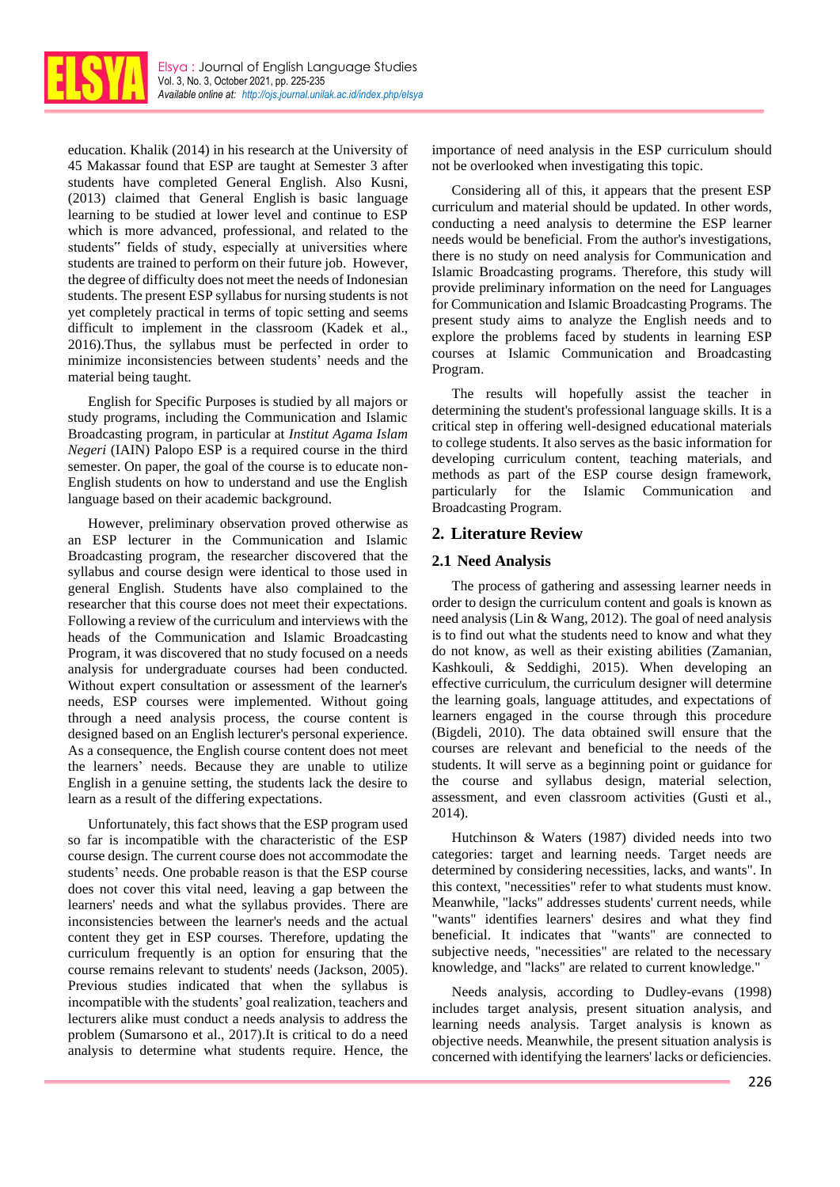

education. Khalik (2014) in his research at the University of 45 Makassar found that ESP are taught at Semester 3 after students have completed General English. Also Kusni, (2013) claimed that General English is basic language learning to be studied at lower level and continue to ESP which is more advanced, professional, and related to the students" fields of study, especially at universities where students are trained to perform on their future job. However, the degree of difficulty does not meet the needs of Indonesian students. The present ESP syllabus for nursing students is not yet completely practical in terms of topic setting and seems difficult to implement in the classroom (Kadek et al., 2016).Thus, the syllabus must be perfected in order to minimize inconsistencies between students' needs and the material being taught.

English for Specific Purposes is studied by all majors or study programs, including the Communication and Islamic Broadcasting program, in particular at *Institut Agama Islam Negeri* (IAIN) Palopo ESP is a required course in the third semester. On paper, the goal of the course is to educate non-English students on how to understand and use the English language based on their academic background.

However, preliminary observation proved otherwise as an ESP lecturer in the Communication and Islamic Broadcasting program, the researcher discovered that the syllabus and course design were identical to those used in general English. Students have also complained to the researcher that this course does not meet their expectations. Following a review of the curriculum and interviews with the heads of the Communication and Islamic Broadcasting Program, it was discovered that no study focused on a needs analysis for undergraduate courses had been conducted. Without expert consultation or assessment of the learner's needs, ESP courses were implemented. Without going through a need analysis process, the course content is designed based on an English lecturer's personal experience. As a consequence, the English course content does not meet the learners' needs. Because they are unable to utilize English in a genuine setting, the students lack the desire to learn as a result of the differing expectations.

Unfortunately, this fact shows that the ESP program used so far is incompatible with the characteristic of the ESP course design. The current course does not accommodate the students' needs. One probable reason is that the ESP course does not cover this vital need, leaving a gap between the learners' needs and what the syllabus provides. There are inconsistencies between the learner's needs and the actual content they get in ESP courses. Therefore, updating the curriculum frequently is an option for ensuring that the course remains relevant to students' needs (Jackson, 2005). Previous studies indicated that when the syllabus is incompatible with the students' goal realization, teachers and lecturers alike must conduct a needs analysis to address the problem (Sumarsono et al., 2017).It is critical to do a need analysis to determine what students require. Hence, the

importance of need analysis in the ESP curriculum should not be overlooked when investigating this topic.

Considering all of this, it appears that the present ESP curriculum and material should be updated. In other words, conducting a need analysis to determine the ESP learner needs would be beneficial. From the author's investigations, there is no study on need analysis for Communication and Islamic Broadcasting programs. Therefore, this study will provide preliminary information on the need for Languages for Communication and Islamic Broadcasting Programs. The present study aims to analyze the English needs and to explore the problems faced by students in learning ESP courses at Islamic Communication and Broadcasting Program.

The results will hopefully assist the teacher in determining the student's professional language skills. It is a critical step in offering well-designed educational materials to college students. It also serves as the basic information for developing curriculum content, teaching materials, and methods as part of the ESP course design framework, particularly for the Islamic Communication and Broadcasting Program.

## **2. Literature Review**

## **2.1 Need Analysis**

The process of gathering and assessing learner needs in order to design the curriculum content and goals is known as need analysis (Lin & Wang, 2012). The goal of need analysis is to find out what the students need to know and what they do not know, as well as their existing abilities (Zamanian, Kashkouli, & Seddighi, 2015). When developing an effective curriculum, the curriculum designer will determine the learning goals, language attitudes, and expectations of learners engaged in the course through this procedure (Bigdeli, 2010). The data obtained swill ensure that the courses are relevant and beneficial to the needs of the students. It will serve as a beginning point or guidance for the course and syllabus design, material selection, assessment, and even classroom activities (Gusti et al., 2014).

Hutchinson & Waters (1987) divided needs into two categories: target and learning needs. Target needs are determined by considering necessities, lacks, and wants". In this context, "necessities" refer to what students must know. Meanwhile, "lacks" addresses students' current needs, while "wants" identifies learners' desires and what they find beneficial. It indicates that "wants" are connected to subjective needs, "necessities" are related to the necessary knowledge, and "lacks" are related to current knowledge."

Needs analysis, according to Dudley-evans (1998) includes target analysis, present situation analysis, and learning needs analysis. Target analysis is known as objective needs. Meanwhile, the present situation analysis is concerned with identifying the learners' lacks or deficiencies.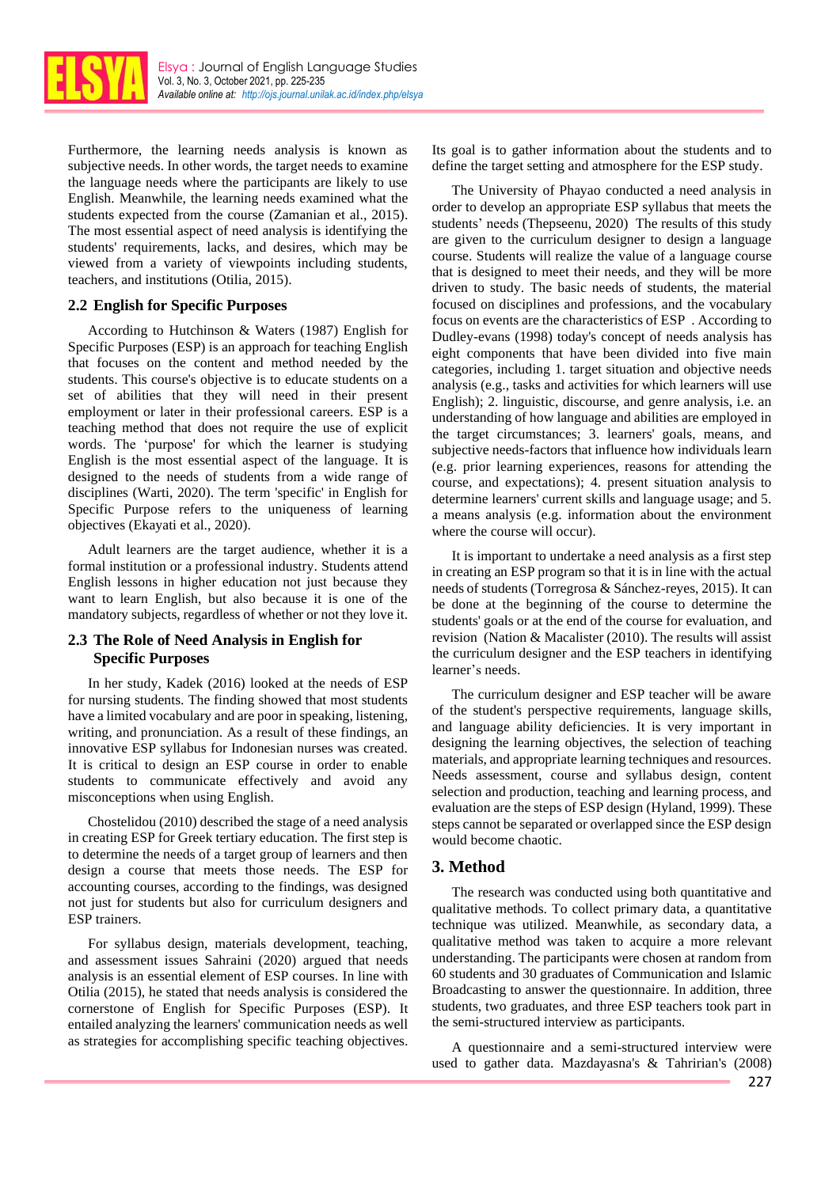

Furthermore, the learning needs analysis is known as subjective needs. In other words, the target needs to examine the language needs where the participants are likely to use English. Meanwhile, the learning needs examined what the students expected from the course (Zamanian et al., 2015). The most essential aspect of need analysis is identifying the students' requirements, lacks, and desires, which may be viewed from a variety of viewpoints including students, teachers, and institutions (Otilia, 2015).

### **2.2 English for Specific Purposes**

According to Hutchinson & Waters (1987) English for Specific Purposes (ESP) is an approach for teaching English that focuses on the content and method needed by the students. This course's objective is to educate students on a set of abilities that they will need in their present employment or later in their professional careers. ESP is a teaching method that does not require the use of explicit words. The 'purpose' for which the learner is studying English is the most essential aspect of the language. It is designed to the needs of students from a wide range of disciplines (Warti, 2020). The term 'specific' in English for Specific Purpose refers to the uniqueness of learning objectives (Ekayati et al., 2020).

Adult learners are the target audience, whether it is a formal institution or a professional industry. Students attend English lessons in higher education not just because they want to learn English, but also because it is one of the mandatory subjects, regardless of whether or not they love it.

## **2.3 The Role of Need Analysis in English for Specific Purposes**

In her study, Kadek (2016) looked at the needs of ESP for nursing students. The finding showed that most students have a limited vocabulary and are poor in speaking, listening, writing, and pronunciation. As a result of these findings, an innovative ESP syllabus for Indonesian nurses was created. It is critical to design an ESP course in order to enable students to communicate effectively and avoid any misconceptions when using English.

Chostelidou (2010) described the stage of a need analysis in creating ESP for Greek tertiary education. The first step is to determine the needs of a target group of learners and then design a course that meets those needs. The ESP for accounting courses, according to the findings, was designed not just for students but also for curriculum designers and ESP trainers.

For syllabus design, materials development, teaching, and assessment issues Sahraini (2020) argued that needs analysis is an essential element of ESP courses. In line with Otilia (2015), he stated that needs analysis is considered the cornerstone of English for Specific Purposes (ESP). It entailed analyzing the learners' communication needs as well as strategies for accomplishing specific teaching objectives. Its goal is to gather information about the students and to define the target setting and atmosphere for the ESP study.

The University of Phayao conducted a need analysis in order to develop an appropriate ESP syllabus that meets the students' needs (Thepseenu, 2020) The results of this study are given to the curriculum designer to design a language course. Students will realize the value of a language course that is designed to meet their needs, and they will be more driven to study. The basic needs of students, the material focused on disciplines and professions, and the vocabulary focus on events are the characteristics of ESP . According to Dudley-evans (1998) today's concept of needs analysis has eight components that have been divided into five main categories, including 1. target situation and objective needs analysis (e.g., tasks and activities for which learners will use English); 2. linguistic, discourse, and genre analysis, i.e. an understanding of how language and abilities are employed in the target circumstances; 3. learners' goals, means, and subjective needs-factors that influence how individuals learn (e.g. prior learning experiences, reasons for attending the course, and expectations); 4. present situation analysis to determine learners' current skills and language usage; and 5. a means analysis (e.g. information about the environment where the course will occur).

It is important to undertake a need analysis as a first step in creating an ESP program so that it is in line with the actual needs of students (Torregrosa & Sánchez-reyes, 2015). It can be done at the beginning of the course to determine the students' goals or at the end of the course for evaluation, and revision (Nation & Macalister (2010). The results will assist the curriculum designer and the ESP teachers in identifying learner's needs.

The curriculum designer and ESP teacher will be aware of the student's perspective requirements, language skills, and language ability deficiencies. It is very important in designing the learning objectives, the selection of teaching materials, and appropriate learning techniques and resources. Needs assessment, course and syllabus design, content selection and production, teaching and learning process, and evaluation are the steps of ESP design (Hyland, 1999). These steps cannot be separated or overlapped since the ESP design would become chaotic.

## **3. Method**

The research was conducted using both quantitative and qualitative methods. To collect primary data, a quantitative technique was utilized. Meanwhile, as secondary data, a qualitative method was taken to acquire a more relevant understanding. The participants were chosen at random from 60 students and 30 graduates of Communication and Islamic Broadcasting to answer the questionnaire. In addition, three students, two graduates, and three ESP teachers took part in the semi-structured interview as participants.

A questionnaire and a semi-structured interview were used to gather data. Mazdayasna's & Tahririan's (2008)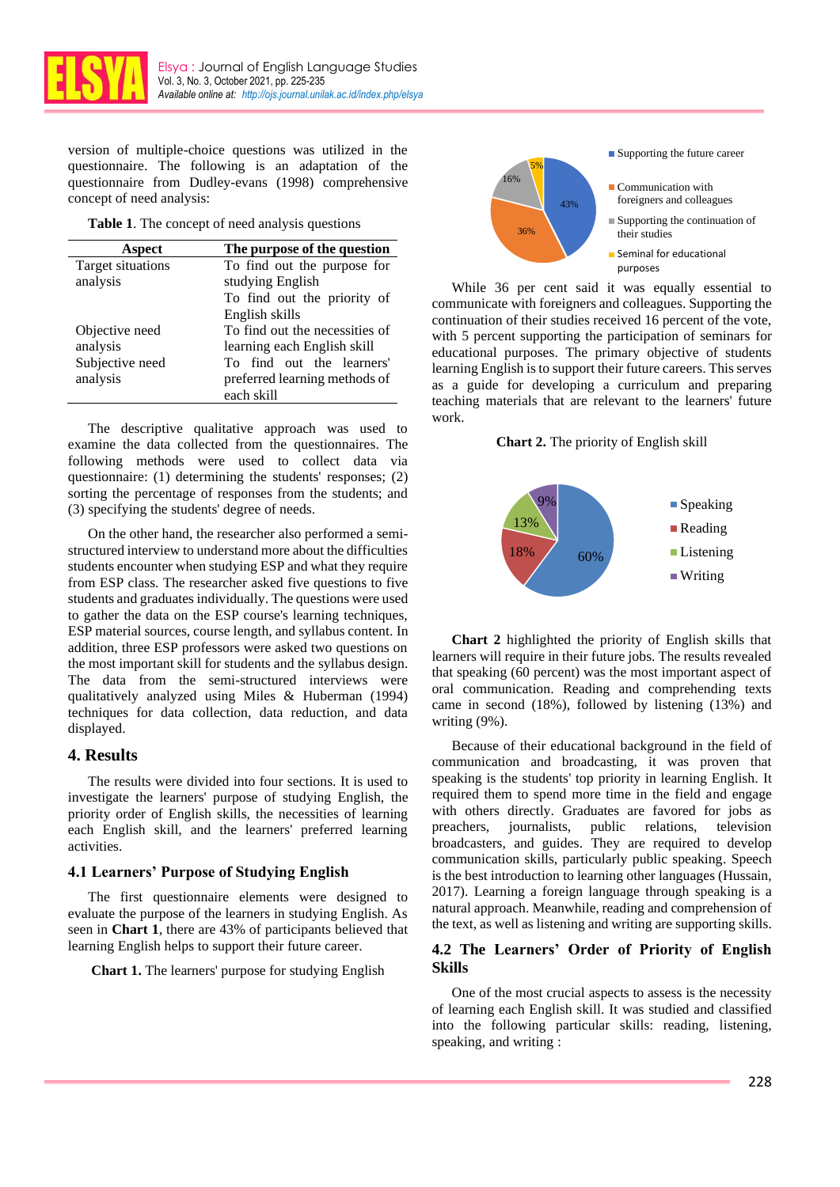

version of multiple-choice questions was utilized in the questionnaire. The following is an adaptation of the questionnaire from Dudley-evans (1998) comprehensive concept of need analysis:

**Table 1**. The concept of need analysis questions

| Aspect                   | The purpose of the question    |  |
|--------------------------|--------------------------------|--|
| <b>Target situations</b> | To find out the purpose for    |  |
| analysis                 | studying English               |  |
|                          | To find out the priority of    |  |
|                          | English skills                 |  |
| Objective need           | To find out the necessities of |  |
| analysis                 | learning each English skill    |  |
| Subjective need          | To find out the learners'      |  |
| analysis                 | preferred learning methods of  |  |
|                          | each skill                     |  |

The descriptive qualitative approach was used to examine the data collected from the questionnaires. The following methods were used to collect data via questionnaire: (1) determining the students' responses; (2) sorting the percentage of responses from the students; and (3) specifying the students' degree of needs.

On the other hand, the researcher also performed a semistructured interview to understand more about the difficulties students encounter when studying ESP and what they require from ESP class. The researcher asked five questions to five students and graduates individually. The questions were used to gather the data on the ESP course's learning techniques, ESP material sources, course length, and syllabus content. In addition, three ESP professors were asked two questions on the most important skill for students and the syllabus design. The data from the semi-structured interviews were qualitatively analyzed using Miles & Huberman (1994) techniques for data collection, data reduction, and data displayed.

## **4. Results**

The results were divided into four sections. It is used to investigate the learners' purpose of studying English, the priority order of English skills, the necessities of learning each English skill, and the learners' preferred learning activities.

### **4.1 Learners' Purpose of Studying English**

The first questionnaire elements were designed to evaluate the purpose of the learners in studying English. As seen in **Chart 1**, there are 43% of participants believed that learning English helps to support their future career.

**Chart 1.** The learners' purpose for studying English



While 36 per cent said it was equally essential to communicate with foreigners and colleagues. Supporting the continuation of their studies received 16 percent of the vote, with 5 percent supporting the participation of seminars for educational purposes. The primary objective of students learning English is to support their future careers. This serves as a guide for developing a curriculum and preparing teaching materials that are relevant to the learners' future work.

**Chart 2.** The priority of English skill



**Chart 2** highlighted the priority of English skills that learners will require in their future jobs. The results revealed that speaking (60 percent) was the most important aspect of oral communication. Reading and comprehending texts came in second (18%), followed by listening (13%) and writing (9%).

Because of their educational background in the field of communication and broadcasting, it was proven that speaking is the students' top priority in learning English. It required them to spend more time in the field and engage with others directly. Graduates are favored for jobs as preachers, journalists, public relations, television broadcasters, and guides. They are required to develop communication skills, particularly public speaking. Speech is the best introduction to learning other languages (Hussain, 2017). Learning a foreign language through speaking is a natural approach. Meanwhile, reading and comprehension of the text, as well as listening and writing are supporting skills.

## **4.2 The Learners' Order of Priority of English Skills**

One of the most crucial aspects to assess is the necessity of learning each English skill. It was studied and classified into the following particular skills: reading, listening, speaking, and writing :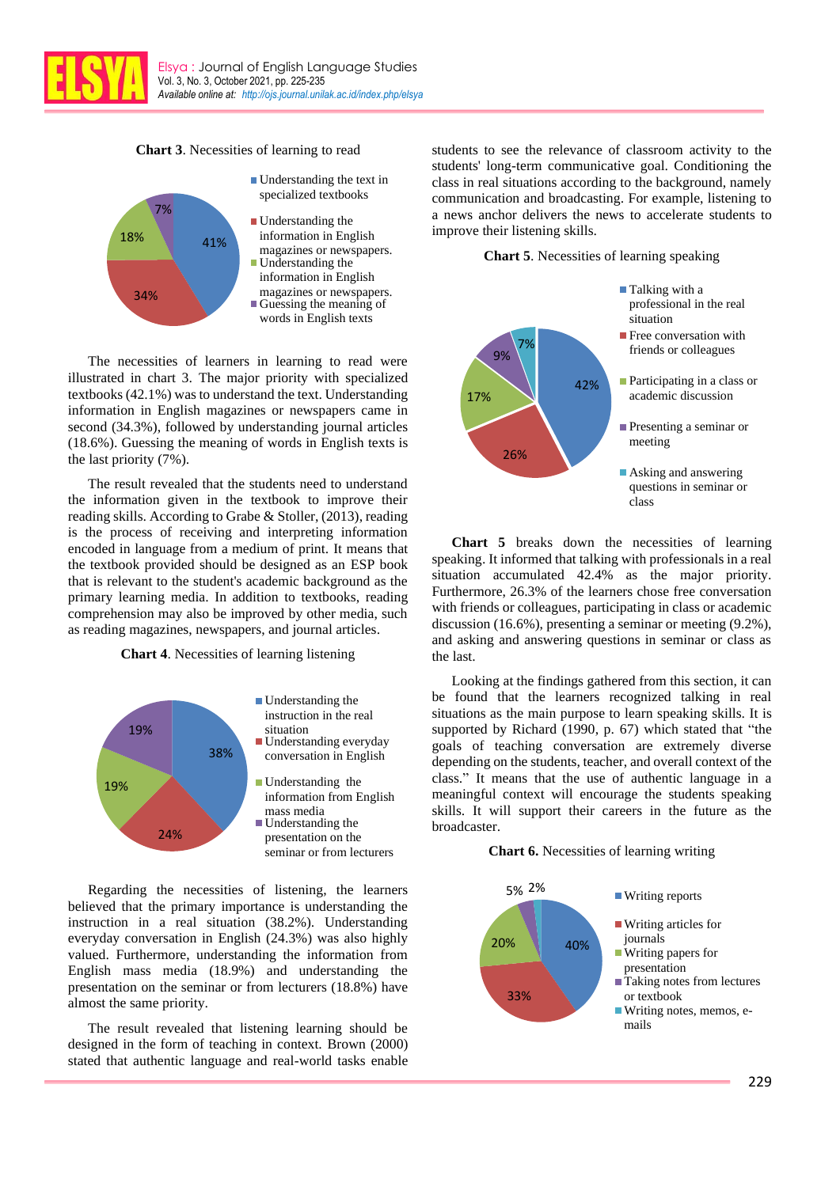

**Chart 3**. Necessities of learning to read



The necessities of learners in learning to read were illustrated in chart 3. The major priority with specialized textbooks (42.1%) was to understand the text. Understanding information in English magazines or newspapers came in second (34.3%), followed by understanding journal articles (18.6%). Guessing the meaning of words in English texts is the last priority (7%).

The result revealed that the students need to understand the information given in the textbook to improve their reading skills. According to Grabe & Stoller, (2013), reading is the process of receiving and interpreting information encoded in language from a medium of print. It means that the textbook provided should be designed as an ESP book that is relevant to the student's academic background as the primary learning media. In addition to textbooks, reading comprehension may also be improved by other media, such as reading magazines, newspapers, and journal articles.

### **Chart 4**. Necessities of learning listening



Regarding the necessities of listening, the learners believed that the primary importance is understanding the instruction in a real situation (38.2%). Understanding everyday conversation in English (24.3%) was also highly valued. Furthermore, understanding the information from English mass media (18.9%) and understanding the presentation on the seminar or from lecturers (18.8%) have almost the same priority.

The result revealed that listening learning should be designed in the form of teaching in context. Brown (2000) stated that authentic language and real-world tasks enable students to see the relevance of classroom activity to the students' long-term communicative goal. Conditioning the class in real situations according to the background, namely communication and broadcasting. For example, listening to a news anchor delivers the news to accelerate students to improve their listening skills.

**Chart 5**. Necessities of learning speaking



**Chart 5** breaks down the necessities of learning speaking. It informed that talking with professionals in a real situation accumulated 42.4% as the major priority. Furthermore, 26.3% of the learners chose free conversation with friends or colleagues, participating in class or academic discussion (16.6%), presenting a seminar or meeting (9.2%), and asking and answering questions in seminar or class as the last.

Looking at the findings gathered from this section, it can be found that the learners recognized talking in real situations as the main purpose to learn speaking skills. It is supported by Richard (1990, p. 67) which stated that "the goals of teaching conversation are extremely diverse depending on the students, teacher, and overall context of the class." It means that the use of authentic language in a meaningful context will encourage the students speaking skills. It will support their careers in the future as the broadcaster.

#### **Chart 6.** Necessities of learning writing

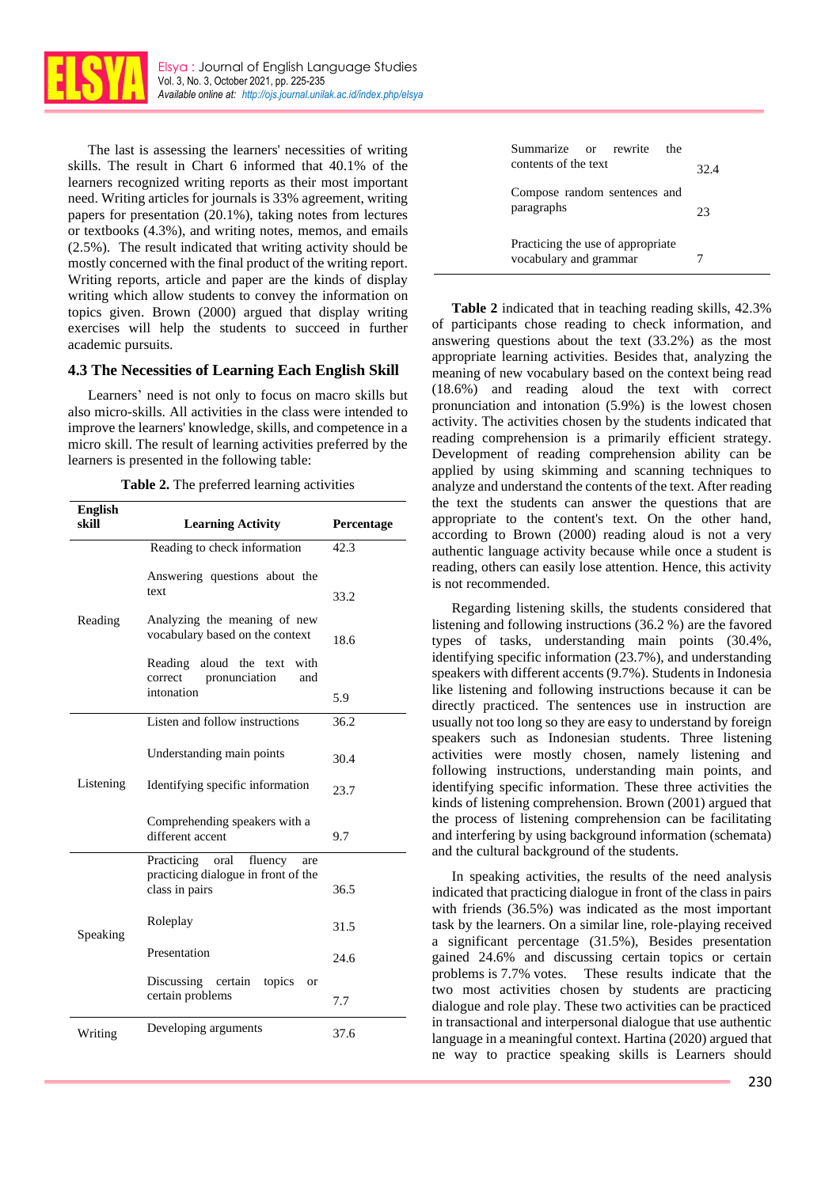

The last is assessing the learners' necessities of writing skills. The result in Chart 6 informed that 40.1% of the learners recognized writing reports as their most important need. Writing articles for journals is 33% agreement, writing papers for presentation (20.1%), taking notes from lectures or textbooks (4.3%), and writing notes, memos, and emails (2.5%). The result indicated that writing activity should be mostly concerned with the final product of the writing report. Writing reports, article and paper are the kinds of display writing which allow students to convey the information on topics given. Brown (2000) argued that display writing exercises will help the students to succeed in further academic pursuits.

### **4.3 The Necessities of Learning Each English Skill**

Learners' need is not only to focus on macro skills but also micro-skills. All activities in the class were intended to improve the learners' knowledge, skills, and competence in a micro skill. The result of learning activities preferred by the learners is presented in the following table:

| Table 2. The preferred learning activities |  |  |  |  |  |
|--------------------------------------------|--|--|--|--|--|
|--------------------------------------------|--|--|--|--|--|

| <b>English</b><br>skill | <b>Learning Activity</b>                                                                   | Percentage |
|-------------------------|--------------------------------------------------------------------------------------------|------------|
|                         | Reading to check information                                                               | 42.3       |
| Reading                 | Answering questions about the<br>text                                                      | 33.2       |
|                         | Analyzing the meaning of new<br>vocabulary based on the context                            | 18.6       |
|                         | Reading aloud the text<br>with<br>pronunciation<br>correct<br>and<br>intonation            |            |
|                         |                                                                                            | 5.9        |
| Listening               | Listen and follow instructions                                                             | 36.2       |
|                         | Understanding main points                                                                  | 30.4       |
|                         | Identifying specific information                                                           | 23.7       |
|                         | Comprehending speakers with a<br>different accent                                          | 9.7        |
| Speaking                | Practicing<br>oral fluency<br>are<br>practicing dialogue in front of the<br>class in pairs | 36.5       |
|                         | Roleplay                                                                                   | 31.5       |
|                         | Presentation                                                                               | 24.6       |
|                         | Discussing certain<br>topics<br>or<br>certain problems                                     | 7.7        |
| Writing                 | Developing arguments                                                                       | 37.6       |

| Summarize or rewrite<br>the<br>contents of the text         | 32.4 |
|-------------------------------------------------------------|------|
| Compose random sentences and<br>paragraphs                  | 23   |
| Practicing the use of appropriate<br>vocabulary and grammar |      |

**Table 2** indicated that in teaching reading skills, 42.3% of participants chose reading to check information, and answering questions about the text (33.2%) as the most appropriate learning activities. Besides that, analyzing the meaning of new vocabulary based on the context being read (18.6%) and reading aloud the text with correct pronunciation and intonation (5.9%) is the lowest chosen activity. The activities chosen by the students indicated that reading comprehension is a primarily efficient strategy. Development of reading comprehension ability can be applied by using skimming and scanning techniques to analyze and understand the contents of the text. After reading the text the students can answer the questions that are appropriate to the content's text. On the other hand, according to Brown (2000) reading aloud is not a very authentic language activity because while once a student is reading, others can easily lose attention. Hence, this activity is not recommended.

Regarding listening skills, the students considered that listening and following instructions (36.2 %) are the favored types of tasks, understanding main points (30.4%, identifying specific information (23.7%), and understanding speakers with different accents (9.7%). Students in Indonesia like listening and following instructions because it can be directly practiced. The sentences use in instruction are usually not too long so they are easy to understand by foreign speakers such as Indonesian students. Three listening activities were mostly chosen, namely listening and following instructions, understanding main points, and identifying specific information. These three activities the kinds of listening comprehension. Brown (2001) argued that the process of listening comprehension can be facilitating and interfering by using background information (schemata) and the cultural background of the students.

In speaking activities, the results of the need analysis indicated that practicing dialogue in front of the class in pairs with friends (36.5%) was indicated as the most important task by the learners. On a similar line, role-playing received a significant percentage (31.5%), Besides presentation gained 24.6% and discussing certain topics or certain problems is 7.7% votes. These results indicate that the two most activities chosen by students are practicing dialogue and role play. These two activities can be practiced in transactional and interpersonal dialogue that use authentic language in a meaningful context. Hartina (2020) argued that ne way to practice speaking skills is Learners should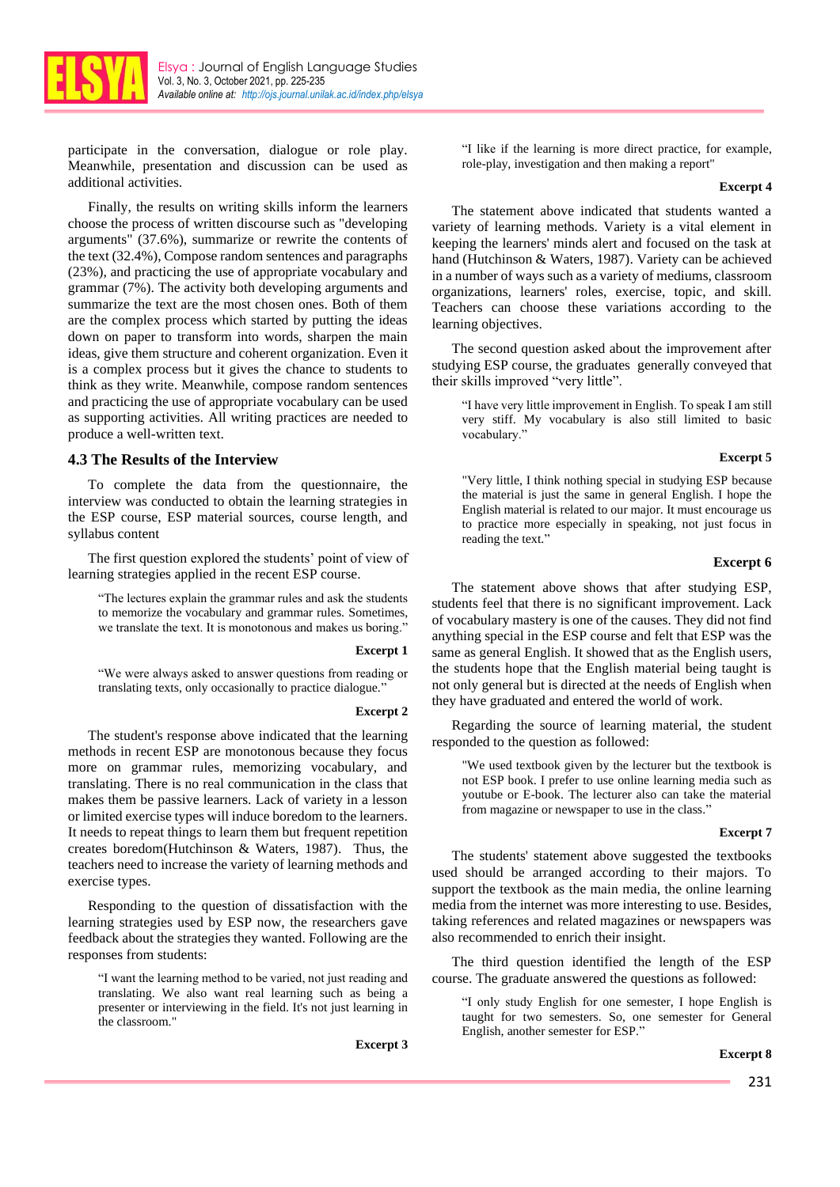

participate in the conversation, dialogue or role play. Meanwhile, presentation and discussion can be used as additional activities.

Finally, the results on writing skills inform the learners choose the process of written discourse such as "developing arguments" (37.6%), summarize or rewrite the contents of the text (32.4%), Compose random sentences and paragraphs (23%), and practicing the use of appropriate vocabulary and grammar (7%). The activity both developing arguments and summarize the text are the most chosen ones. Both of them are the complex process which started by putting the ideas down on paper to transform into words, sharpen the main ideas, give them structure and coherent organization. Even it is a complex process but it gives the chance to students to think as they write. Meanwhile, compose random sentences and practicing the use of appropriate vocabulary can be used as supporting activities. All writing practices are needed to produce a well-written text.

#### **4.3 The Results of the Interview**

To complete the data from the questionnaire, the interview was conducted to obtain the learning strategies in the ESP course, ESP material sources, course length, and syllabus content

The first question explored the students' point of view of learning strategies applied in the recent ESP course.

"The lectures explain the grammar rules and ask the students to memorize the vocabulary and grammar rules. Sometimes, we translate the text. It is monotonous and makes us boring."

#### **Excerpt 1**

"We were always asked to answer questions from reading or translating texts, only occasionally to practice dialogue."

#### **Excerpt 2**

The student's response above indicated that the learning methods in recent ESP are monotonous because they focus more on grammar rules, memorizing vocabulary, and translating. There is no real communication in the class that makes them be passive learners. Lack of variety in a lesson or limited exercise types will induce boredom to the learners. It needs to repeat things to learn them but frequent repetition creates boredom(Hutchinson & Waters, 1987). Thus, the teachers need to increase the variety of learning methods and exercise types.

Responding to the question of dissatisfaction with the learning strategies used by ESP now, the researchers gave feedback about the strategies they wanted. Following are the responses from students:

"I want the learning method to be varied, not just reading and translating. We also want real learning such as being a presenter or interviewing in the field. It's not just learning in the classroom."

**Excerpt 3**

"I like if the learning is more direct practice, for example, role-play, investigation and then making a report"

#### **Excerpt 4**

The statement above indicated that students wanted a variety of learning methods. Variety is a vital element in keeping the learners' minds alert and focused on the task at hand (Hutchinson & Waters, 1987). Variety can be achieved in a number of ways such as a variety of mediums, classroom organizations, learners' roles, exercise, topic, and skill. Teachers can choose these variations according to the learning objectives.

The second question asked about the improvement after studying ESP course, the graduates generally conveyed that their skills improved "very little".

"I have very little improvement in English. To speak I am still very stiff. My vocabulary is also still limited to basic vocabulary."

#### **Excerpt 5**

"Very little, I think nothing special in studying ESP because the material is just the same in general English. I hope the English material is related to our major. It must encourage us to practice more especially in speaking, not just focus in reading the text."

#### **Excerpt 6**

The statement above shows that after studying ESP, students feel that there is no significant improvement. Lack of vocabulary mastery is one of the causes. They did not find anything special in the ESP course and felt that ESP was the same as general English. It showed that as the English users, the students hope that the English material being taught is not only general but is directed at the needs of English when they have graduated and entered the world of work.

Regarding the source of learning material, the student responded to the question as followed:

"We used textbook given by the lecturer but the textbook is not ESP book. I prefer to use online learning media such as youtube or E-book. The lecturer also can take the material from magazine or newspaper to use in the class."

#### **Excerpt 7**

The students' statement above suggested the textbooks used should be arranged according to their majors. To support the textbook as the main media, the online learning media from the internet was more interesting to use. Besides, taking references and related magazines or newspapers was also recommended to enrich their insight.

The third question identified the length of the ESP course. The graduate answered the questions as followed:

"I only study English for one semester, I hope English is taught for two semesters. So, one semester for General English, another semester for ESP."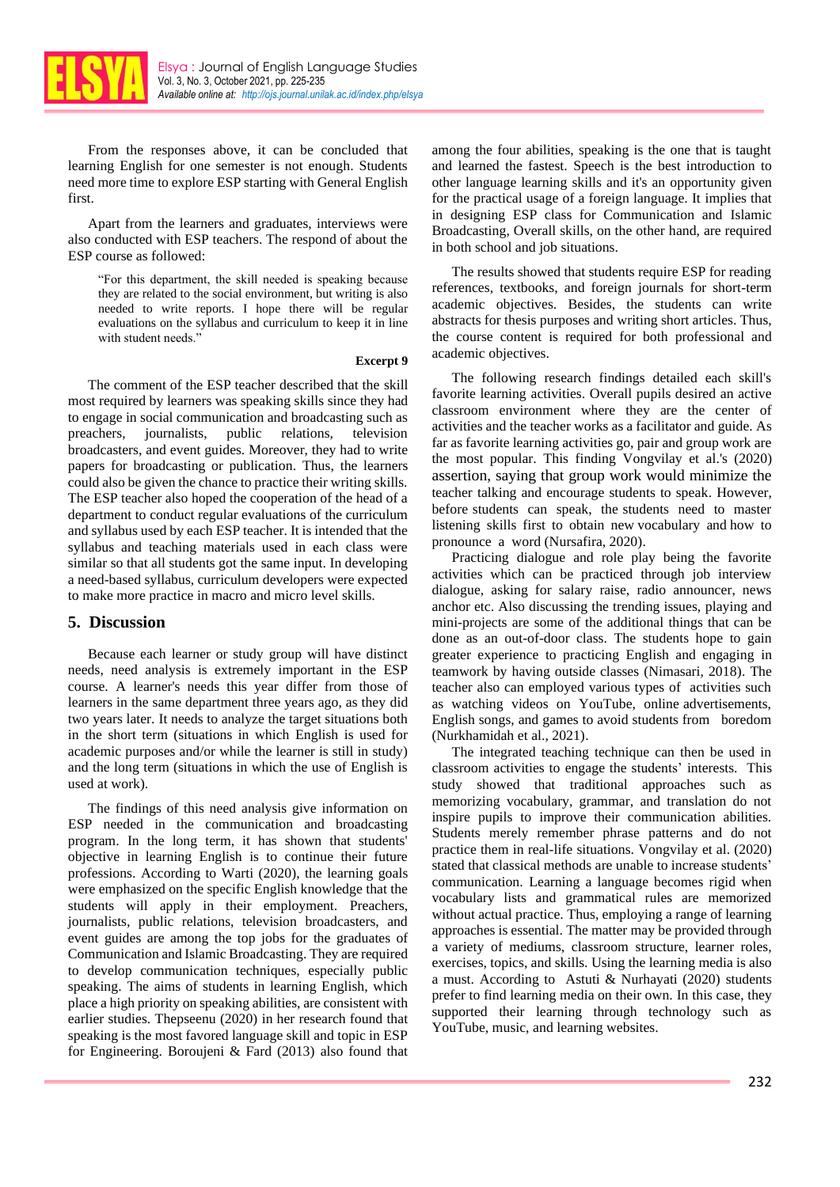

From the responses above, it can be concluded that learning English for one semester is not enough. Students need more time to explore ESP starting with General English first.

Apart from the learners and graduates, interviews were also conducted with ESP teachers. The respond of about the ESP course as followed:

"For this department, the skill needed is speaking because they are related to the social environment, but writing is also needed to write reports. I hope there will be regular evaluations on the syllabus and curriculum to keep it in line with student needs."

#### **Excerpt 9**

The comment of the ESP teacher described that the skill most required by learners was speaking skills since they had to engage in social communication and broadcasting such as preachers, journalists, public relations, television broadcasters, and event guides. Moreover, they had to write papers for broadcasting or publication. Thus, the learners could also be given the chance to practice their writing skills. The ESP teacher also hoped the cooperation of the head of a department to conduct regular evaluations of the curriculum and syllabus used by each ESP teacher. It is intended that the syllabus and teaching materials used in each class were similar so that all students got the same input. In developing a need-based syllabus, curriculum developers were expected to make more practice in macro and micro level skills.

### **5. Discussion**

Because each learner or study group will have distinct needs, need analysis is extremely important in the ESP course. A learner's needs this year differ from those of learners in the same department three years ago, as they did two years later. It needs to analyze the target situations both in the short term (situations in which English is used for academic purposes and/or while the learner is still in study) and the long term (situations in which the use of English is used at work).

The findings of this need analysis give information on ESP needed in the communication and broadcasting program. In the long term, it has shown that students' objective in learning English is to continue their future professions. According to Warti (2020), the learning goals were emphasized on the specific English knowledge that the students will apply in their employment. Preachers, journalists, public relations, television broadcasters, and event guides are among the top jobs for the graduates of Communication and Islamic Broadcasting. They are required to develop communication techniques, especially public speaking. The aims of students in learning English, which place a high priority on speaking abilities, are consistent with earlier studies. Thepseenu (2020) in her research found that speaking is the most favored language skill and topic in ESP for Engineering. Boroujeni & Fard (2013) also found that among the four abilities, speaking is the one that is taught and learned the fastest. Speech is the best introduction to other language learning skills and it's an opportunity given for the practical usage of a foreign language. It implies that in designing ESP class for Communication and Islamic Broadcasting, Overall skills, on the other hand, are required in both school and job situations.

The results showed that students require ESP for reading references, textbooks, and foreign journals for short-term academic objectives. Besides, the students can write abstracts for thesis purposes and writing short articles. Thus, the course content is required for both professional and academic objectives.

The following research findings detailed each skill's favorite learning activities. Overall pupils desired an active classroom environment where they are the center of activities and the teacher works as a facilitator and guide. As far as favorite learning activities go, pair and group work are the most popular. This finding Vongvilay et al.'s (2020) assertion, saying that group work would minimize the teacher talking and encourage students to speak. However, before students can speak, the students need to master listening skills first to obtain new vocabulary and how to pronounce a word (Nursafira, 2020).

Practicing dialogue and role play being the favorite activities which can be practiced through job interview dialogue, asking for salary raise, radio announcer, news anchor etc. Also discussing the trending issues, playing and mini-projects are some of the additional things that can be done as an out-of-door class. The students hope to gain greater experience to practicing English and engaging in teamwork by having outside classes (Nimasari, 2018). The teacher also can employed various types of activities such as watching videos on YouTube, online advertisements, English songs, and games to avoid students from boredom (Nurkhamidah et al., 2021).

The integrated teaching technique can then be used in classroom activities to engage the students' interests. This study showed that traditional approaches such as memorizing vocabulary, grammar, and translation do not inspire pupils to improve their communication abilities. Students merely remember phrase patterns and do not practice them in real-life situations. Vongvilay et al. (2020) stated that classical methods are unable to increase students' communication. Learning a language becomes rigid when vocabulary lists and grammatical rules are memorized without actual practice. Thus, employing a range of learning approaches is essential. The matter may be provided through a variety of mediums, classroom structure, learner roles, exercises, topics, and skills. Using the learning media is also a must. According to Astuti & Nurhayati (2020) students prefer to find learning media on their own. In this case, they supported their learning through technology such as YouTube, music, and learning websites.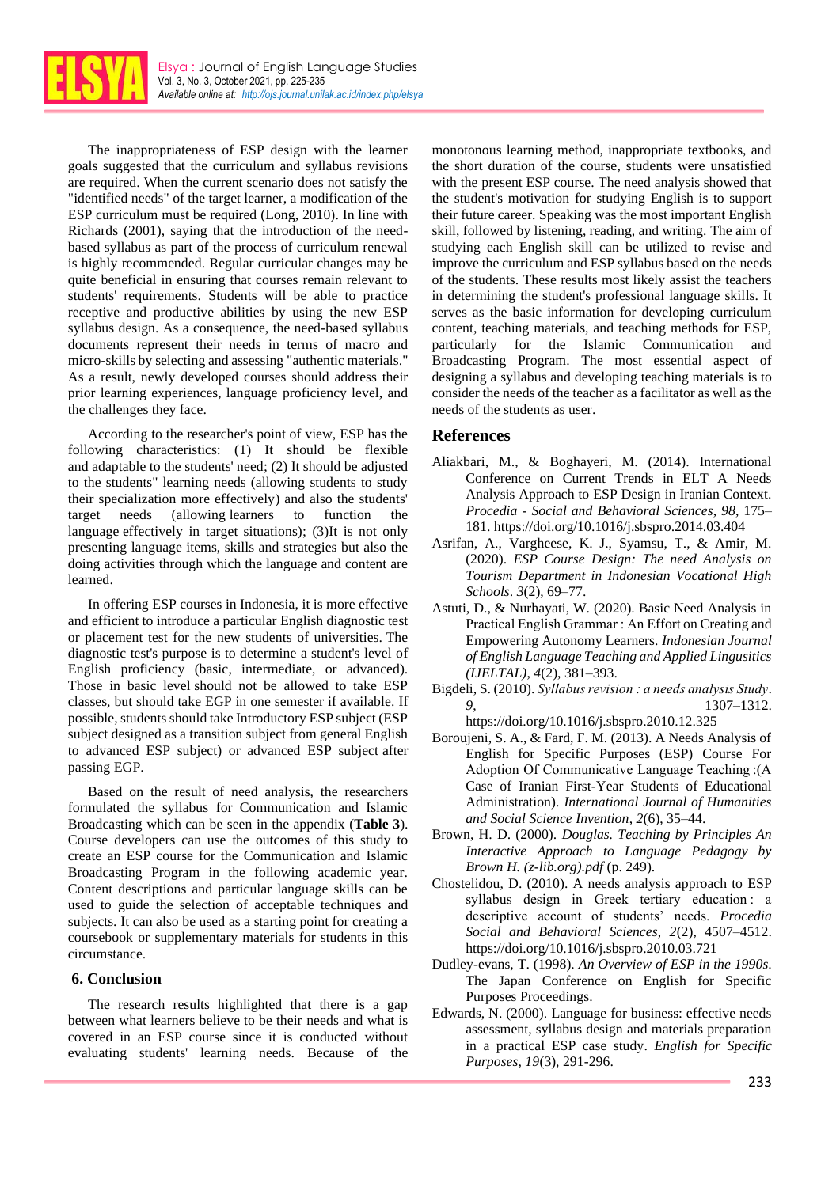

The inappropriateness of ESP design with the learner goals suggested that the curriculum and syllabus revisions are required. When the current scenario does not satisfy the "identified needs" of the target learner, a modification of the ESP curriculum must be required (Long, 2010). In line with Richards (2001), saying that the introduction of the needbased syllabus as part of the process of curriculum renewal is highly recommended. Regular curricular changes may be quite beneficial in ensuring that courses remain relevant to students' requirements. Students will be able to practice receptive and productive abilities by using the new ESP syllabus design. As a consequence, the need-based syllabus documents represent their needs in terms of macro and micro-skills by selecting and assessing "authentic materials." As a result, newly developed courses should address their prior learning experiences, language proficiency level, and the challenges they face.

According to the researcher's point of view, ESP has the following characteristics: (1) It should be flexible and adaptable to the students' need; (2) It should be adjusted to the students" learning needs (allowing students to study their specialization more effectively) and also the students' target needs (allowing learners to function the language effectively in target situations); (3)It is not only presenting language items, skills and strategies but also the doing activities through which the language and content are learned.

In offering ESP courses in Indonesia, it is more effective and efficient to introduce a particular English diagnostic test or placement test for the new students of universities. The diagnostic test's purpose is to determine a student's level of English proficiency (basic, intermediate, or advanced). Those in basic level should not be allowed to take ESP classes, but should take EGP in one semester if available. If possible, students should take Introductory ESP subject (ESP subject designed as a transition subject from general English to advanced ESP subject) or advanced ESP subject after passing EGP.

Based on the result of need analysis, the researchers formulated the syllabus for Communication and Islamic Broadcasting which can be seen in the appendix (**Table 3**). Course developers can use the outcomes of this study to create an ESP course for the Communication and Islamic Broadcasting Program in the following academic year. Content descriptions and particular language skills can be used to guide the selection of acceptable techniques and subjects. It can also be used as a starting point for creating a coursebook or supplementary materials for students in this circumstance.

### **6. Conclusion**

The research results highlighted that there is a gap between what learners believe to be their needs and what is covered in an ESP course since it is conducted without evaluating students' learning needs. Because of the monotonous learning method, inappropriate textbooks, and the short duration of the course, students were unsatisfied with the present ESP course. The need analysis showed that the student's motivation for studying English is to support their future career. Speaking was the most important English skill, followed by listening, reading, and writing. The aim of studying each English skill can be utilized to revise and improve the curriculum and ESP syllabus based on the needs of the students. These results most likely assist the teachers in determining the student's professional language skills. It serves as the basic information for developing curriculum content, teaching materials, and teaching methods for ESP, particularly for the Islamic Communication and Broadcasting Program. The most essential aspect of designing a syllabus and developing teaching materials is to consider the needs of the teacher as a facilitator as well as the needs of the students as user.

## **References**

- Aliakbari, M., & Boghayeri, M. (2014). International Conference on Current Trends in ELT A Needs Analysis Approach to ESP Design in Iranian Context. *Procedia - Social and Behavioral Sciences*, *98*, 175– 181. https://doi.org/10.1016/j.sbspro.2014.03.404
- Asrifan, A., Vargheese, K. J., Syamsu, T., & Amir, M. (2020). *ESP Course Design: The need Analysis on Tourism Department in Indonesian Vocational High Schools*. *3*(2), 69–77.
- Astuti, D., & Nurhayati, W. (2020). Basic Need Analysis in Practical English Grammar : An Effort on Creating and Empowering Autonomy Learners. *Indonesian Journal of English Language Teaching and Applied Lingusitics (IJELTAL)*, *4*(2), 381–393.
- Bigdeli, S. (2010). *Syllabus revision : a needs analysis Study*. *9*, 1307–1312. https://doi.org/10.1016/j.sbspro.2010.12.325
- Boroujeni, S. A., & Fard, F. M. (2013). A Needs Analysis of English for Specific Purposes (ESP) Course For Adoption Of Communicative Language Teaching :(A Case of Iranian First-Year Students of Educational Administration). *International Journal of Humanities and Social Science Invention*, *2*(6), 35–44.
- Brown, H. D. (2000). *Douglas. Teaching by Principles An Interactive Approach to Language Pedagogy by Brown H. (z-lib.org).pdf* (p. 249).
- Chostelidou, D. (2010). A needs analysis approach to ESP syllabus design in Greek tertiary education: a descriptive account of students' needs. *Procedia Social and Behavioral Sciences*, *2*(2), 4507–4512. https://doi.org/10.1016/j.sbspro.2010.03.721
- Dudley-evans, T. (1998). *An Overview of ESP in the 1990s*. The Japan Conference on English for Specific Purposes Proceedings.
- Edwards, N. (2000). Language for business: effective needs assessment, syllabus design and materials preparation in a practical ESP case study. *English for Specific Purposes, 19*(3), 291-296.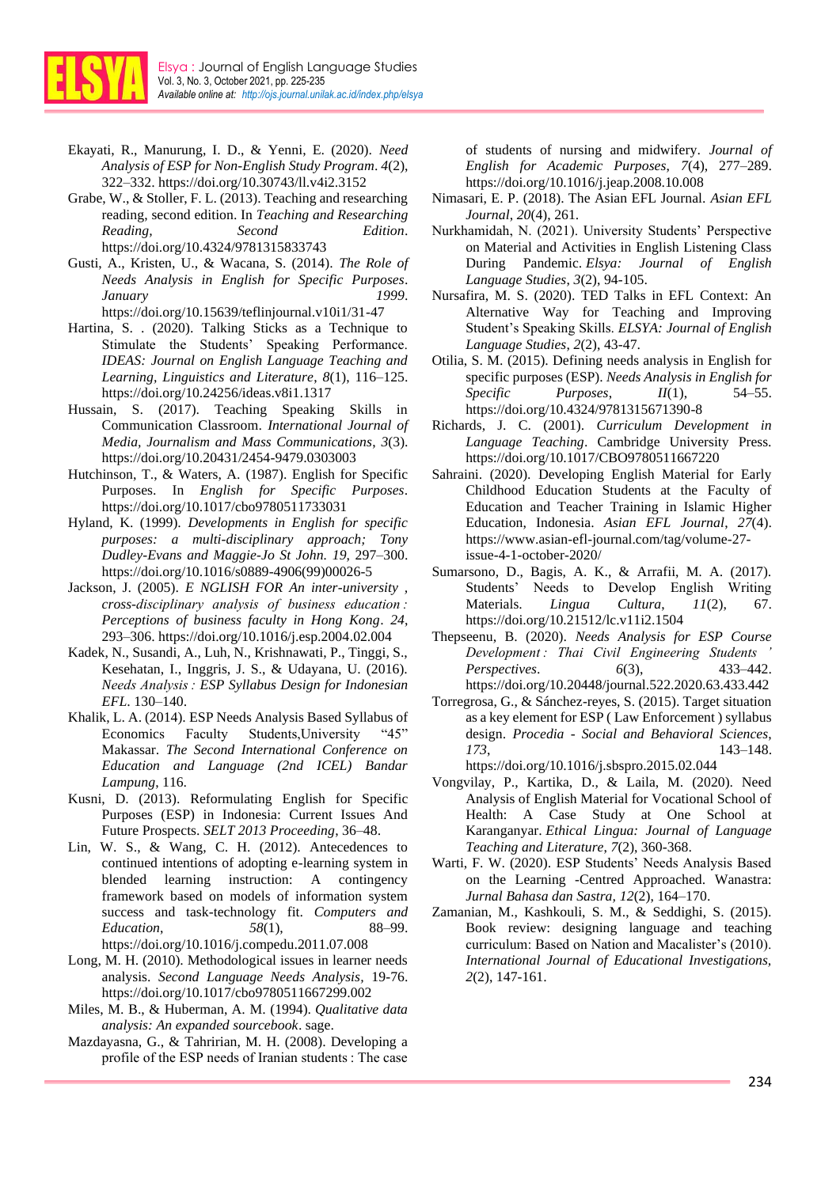

- Ekayati, R., Manurung, I. D., & Yenni, E. (2020). *Need Analysis of ESP for Non-English Study Program*. *4*(2), 322–332. https://doi.org/10.30743/ll.v4i2.3152
- Grabe, W., & Stoller, F. L. (2013). Teaching and researching reading, second edition. In *Teaching and Researching Reading, Second Edition*. https://doi.org/10.4324/9781315833743
- Gusti, A., Kristen, U., & Wacana, S. (2014). *The Role of Needs Analysis in English for Specific Purposes*. *January 1999*. https://doi.org/10.15639/teflinjournal.v10i1/31-47
- Hartina, S. . (2020). Talking Sticks as a Technique to Stimulate the Students' Speaking Performance. *IDEAS: Journal on English Language Teaching and Learning, Linguistics and Literature*, *8*(1), 116–125. https://doi.org/10.24256/ideas.v8i1.1317
- Hussain, S. (2017). Teaching Speaking Skills in Communication Classroom. *International Journal of Media, Journalism and Mass Communications*, *3*(3). https://doi.org/10.20431/2454-9479.0303003
- Hutchinson, T., & Waters, A. (1987). English for Specific Purposes. In *English for Specific Purposes*. https://doi.org/10.1017/cbo9780511733031
- Hyland, K. (1999). *Developments in English for specific purposes: a multi-disciplinary approach; Tony Dudley-Evans and Maggie-Jo St John. 19*, 297–300. https://doi.org/10.1016/s0889-4906(99)00026-5
- Jackson, J. (2005). *E NGLISH FOR An inter-university , cross-disciplinary analysis of business education : Perceptions of business faculty in Hong Kong*. *24*, 293–306. https://doi.org/10.1016/j.esp.2004.02.004
- Kadek, N., Susandi, A., Luh, N., Krishnawati, P., Tinggi, S., Kesehatan, I., Inggris, J. S., & Udayana, U. (2016). *Needs Analysis : ESP Syllabus Design for Indonesian EFL*. 130–140.
- Khalik, L. A. (2014). ESP Needs Analysis Based Syllabus of Economics Faculty Students,University "45" Makassar. *The Second International Conference on Education and Language (2nd ICEL) Bandar Lampung*, 116.
- Kusni, D. (2013). Reformulating English for Specific Purposes (ESP) in Indonesia: Current Issues And Future Prospects. *SELT 2013 Proceeding*, 36–48.
- Lin, W. S., & Wang, C. H. (2012). Antecedences to continued intentions of adopting e-learning system in blended learning instruction: A contingency framework based on models of information system success and task-technology fit. *Computers and Education*, *58*(1), 88–99. https://doi.org/10.1016/j.compedu.2011.07.008
- Long, M. H. (2010). Methodological issues in learner needs analysis. *Second Language Needs Analysis,* 19-76. https://doi.org/10.1017/cbo9780511667299.002
- Miles, M. B., & Huberman, A. M. (1994). *Qualitative data analysis: An expanded sourcebook*. sage.
- Mazdayasna, G., & Tahririan, M. H. (2008). Developing a profile of the ESP needs of Iranian students : The case

of students of nursing and midwifery. *Journal of English for Academic Purposes*, *7*(4), 277–289. https://doi.org/10.1016/j.jeap.2008.10.008

- Nimasari, E. P. (2018). The Asian EFL Journal. *Asian EFL Journal*, *20*(4), 261.
- Nurkhamidah, N. (2021). University Students' Perspective on Material and Activities in English Listening Class During Pandemic. *Elsya: Journal of English Language Studies*, *3*(2), 94-105.
- Nursafira, M. S. (2020). TED Talks in EFL Context: An Alternative Way for Teaching and Improving Student's Speaking Skills. *ELSYA: Journal of English Language Studies*, *2*(2), 43-47.
- Otilia, S. M. (2015). Defining needs analysis in English for specific purposes (ESP). *Needs Analysis in English for Specific Purposes*, *II*(1), 54–55. https://doi.org/10.4324/9781315671390-8
- Richards, J. C. (2001). *Curriculum Development in Language Teaching*. Cambridge University Press. https://doi.org/10.1017/CBO9780511667220
- Sahraini. (2020). Developing English Material for Early Childhood Education Students at the Faculty of Education and Teacher Training in Islamic Higher Education, Indonesia. *Asian EFL Journal*, *27*(4). https://www.asian-efl-journal.com/tag/volume-27 issue-4-1-october-2020/
- Sumarsono, D., Bagis, A. K., & Arrafii, M. A. (2017). Students' Needs to Develop English Writing Materials. *Lingua Cultura*, *11*(2), 67. https://doi.org/10.21512/lc.v11i2.1504
- Thepseenu, B. (2020). *Needs Analysis for ESP Course Development : Thai Civil Engineering Students ' Perspectives*. *6*(3), 433–442. https://doi.org/10.20448/journal.522.2020.63.433.442
- Torregrosa, G., & Sánchez-reyes, S. (2015). Target situation as a key element for ESP ( Law Enforcement ) syllabus design. *Procedia - Social and Behavioral Sciences*, *173*, 143–148. https://doi.org/10.1016/j.sbspro.2015.02.044
- Vongvilay, P., Kartika, D., & Laila, M. (2020). Need Analysis of English Material for Vocational School of Health: A Case Study at One School at Karanganyar. *Ethical Lingua: Journal of Language Teaching and Literature*, *7*(2), 360-368.
- Warti, F. W. (2020). ESP Students' Needs Analysis Based on the Learning -Centred Approached. Wanastra: *Jurnal Bahasa dan Sastra, 12*(2), 164–170.
- Zamanian, M., Kashkouli, S. M., & Seddighi, S. (2015). Book review: designing language and teaching curriculum: Based on Nation and Macalister's (2010). *International Journal of Educational Investigations, 2*(2), 147-161.